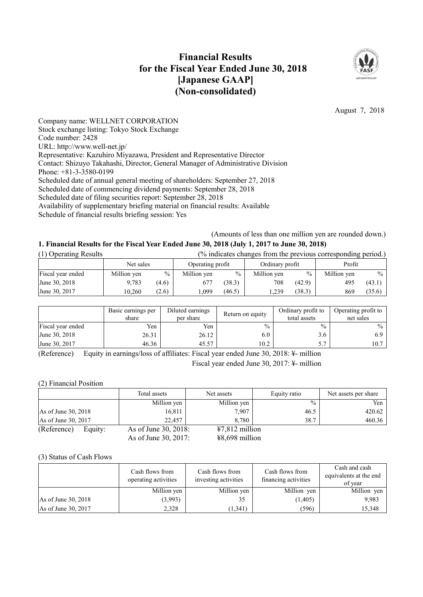# **Financial Results for the Fiscal Year Ended June 30, 2018 [Japanese GAAP] (Non-consolidated)**



August 7, 2018

Company name: WELLNET CORPORATION Stock exchange listing: Tokyo Stock Exchange Code number: 2428 URL: http://www.well-net.jp/ Representative: Kazuhiro Miyazawa, President and Representative Director Contact: Shizuyo Takahashi, Director, General Manager of Administrative Division Phone: +81-3-3580-0199 Scheduled date of annual general meeting of shareholders: September 27, 2018 Scheduled date of commencing dividend payments: September 28, 2018 Scheduled date of filing securities report: September 28, 2018 Availability of supplementary briefing material on financial results: Available Schedule of financial results briefing session: Yes

(Amounts of less than one million yen are rounded down.)

# **1. Financial Results for the Fiscal Year Ended June 30, 2018 (July 1, 2017 to June 30, 2018)**

| (1) Operating Results | (% indicates changes from the previous corresponding period.) |       |                  |               |                 |               |             |        |
|-----------------------|---------------------------------------------------------------|-------|------------------|---------------|-----------------|---------------|-------------|--------|
|                       | Net sales                                                     |       | Operating profit |               | Ordinary profit |               | Profit      |        |
| Fiscal year ended     | Million yen                                                   | $\%$  | Million yen      | $\frac{0}{0}$ | Million yen     | $\frac{0}{0}$ | Million yen | $\%$   |
| June 30, 2018         | 9.783                                                         | (4.6) | 677              | (38.3)        | 708             | (42.9)        | 495         | (43.1) |
| June 30, 2017         | 10.260                                                        | (2.6) | .099             | (46.5)        | .239            | (38.3)        | 869         | (35.6) |

|                   | Basic earnings per<br>share | Diluted earnings<br>per share | Return on equity | Ordinary profit to<br>total assets | Operating profit to<br>net sales |
|-------------------|-----------------------------|-------------------------------|------------------|------------------------------------|----------------------------------|
| Fiscal year ended | Yen                         | Yen                           | $\frac{0}{0}$    | $\frac{0}{0}$                      | $\frac{0}{0}$                    |
| June 30, 2018     | 26.31                       | 26.12                         | 6.0              | 3.6                                | 6.9                              |
| June 30, 2017     | 46.36                       | 45.57                         | 10.2             |                                    | 10.7                             |

(Reference) Equity in earnings/loss of affiliates: Fiscal year ended June 30, 2018: ¥- million Fiscal year ended June 30, 2017: ¥- million

(2) Financial Position

|                        | Total assets         | Net assets       | Equity ratio  | Net assets per share |
|------------------------|----------------------|------------------|---------------|----------------------|
|                        | Million yen          | Million yen      | $\frac{0}{0}$ | Yen                  |
| As of June 30, 2018    | 16,811               | 7,907            | 46.5          | 420.62               |
| As of June 30, 2017    | 22.457               | 8.780            | 38.7          | 460.36               |
| (Reference)<br>Equity: | As of June 30, 2018: | $47,812$ million |               |                      |
|                        | As of June 30, 2017: | $48,698$ million |               |                      |

#### (3) Status of Cash Flows

|                     | Cash flows from<br>operating activities | Cash flows from<br>investing activities | Cash flows from<br>financing activities | Cash and cash<br>equivalents at the end<br>of year |
|---------------------|-----------------------------------------|-----------------------------------------|-----------------------------------------|----------------------------------------------------|
|                     | Million yen                             | Million yen                             | Million yen                             | Million yen                                        |
| As of June 30, 2018 | (3.993)                                 | 35                                      | (1, 405)                                | 9.983                                              |
| As of June 30, 2017 | 2,328                                   | (1,341)                                 | (596)                                   | 15,348                                             |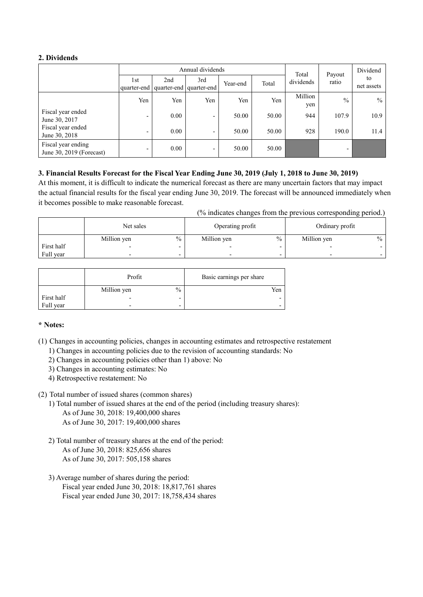# **2. Dividends**

|                                                | Annual dividends         |      |                          |          |       | Total          | Payout        | Dividend |            |
|------------------------------------------------|--------------------------|------|--------------------------|----------|-------|----------------|---------------|----------|------------|
|                                                | 1st                      | 2nd  | 3rd                      | Year-end | Total | dividends      | ratio         | to       |            |
|                                                | quarter-end              |      | quarter-end quarter-end  |          |       |                |               |          | net assets |
|                                                | Yen                      | Yen  | Yen                      | Yen      | Yen   | Million<br>yen | $\frac{0}{0}$ | $\%$     |            |
| Fiscal year ended<br>June 30, 2017             | $\overline{\phantom{0}}$ | 0.00 | $\overline{\phantom{0}}$ | 50.00    | 50.00 | 944            | 107.9         | 10.9     |            |
| Fiscal year ended<br>June 30, 2018             | $\overline{\phantom{0}}$ | 0.00 | $\overline{\phantom{0}}$ | 50.00    | 50.00 | 928            | 190.0         | 11.4     |            |
| Fiscal year ending<br>June 30, 2019 (Forecast) | $\overline{\phantom{0}}$ | 0.00 |                          | 50.00    | 50.00 |                | ۰             |          |            |

# 3. Financial Results Forecast for the Fiscal Year Ending June 30, 2019 (July 1, 2018 to June 30, 2019)

At this moment, it is difficult to indicate the numerical forecast as there are many uncertain factors that may impact the actual financial results for the fiscal year ending June 30, 2019. The forecast will be announced immediately when it becomes possible to make reasonable forecast.

(% indicates changes from the previous corresponding period.)

|            | Net sales   |                          | Operating profit         |                          | Ordinary profit          |               |
|------------|-------------|--------------------------|--------------------------|--------------------------|--------------------------|---------------|
|            | Million yen | $\%$                     | Million yen              | $\%$                     | Million yen              | $\frac{0}{0}$ |
| First half |             |                          |                          |                          |                          |               |
| Full year  |             | $\overline{\phantom{0}}$ | $\overline{\phantom{0}}$ | $\overline{\phantom{0}}$ | $\overline{\phantom{0}}$ |               |

|            | Profit                   |                          | Basic earnings per share |
|------------|--------------------------|--------------------------|--------------------------|
|            | Million yen              | $\frac{0}{0}$            | Yen                      |
| First half | $\overline{\phantom{0}}$ | -                        |                          |
| Full year  |                          | $\overline{\phantom{0}}$ |                          |

# **\* Notes:**

(1) Changes in accounting policies, changes in accounting estimates and retrospective restatement

- 1) Changes in accounting policies due to the revision of accounting standards: No
- 2) Changes in accounting policies other than 1) above: No
- 3) Changes in accounting estimates: No
- 4) Retrospective restatement: No
- (2) Total number of issued shares (common shares)
	- 1) Total number of issued shares at the end of the period (including treasury shares): As of June 30, 2018: 19,400,000 shares As of June 30, 2017: 19,400,000 shares
	- 2) Total number of treasury shares at the end of the period: As of June 30, 2018: 825,656 shares As of June 30, 2017: 505,158 shares
	- 3) Average number of shares during the period: Fiscal year ended June 30, 2018: 18,817,761 shares Fiscal year ended June 30, 2017: 18,758,434 shares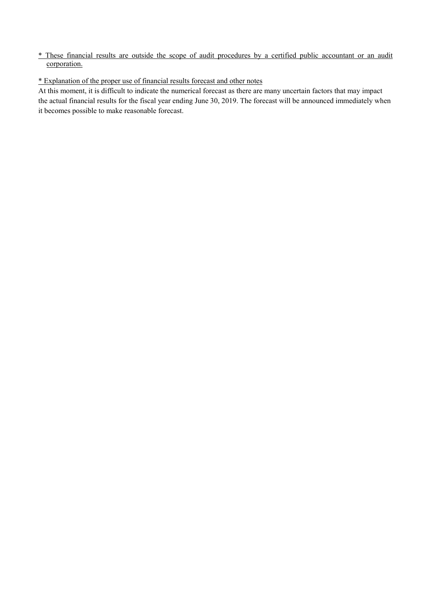# \* These financial results are outside the scope of audit procedures by a certified public accountant or an audit corporation.

# \* Explanation of the proper use of financial results forecast and other notes

At this moment, it is difficult to indicate the numerical forecast as there are many uncertain factors that may impact the actual financial results for the fiscal year ending June 30, 2019. The forecast will be announced immediately when it becomes possible to make reasonable forecast.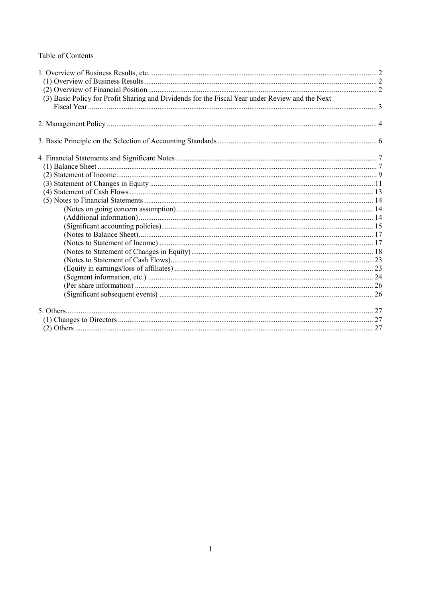# Table of Contents

| (3) Basic Policy for Profit Sharing and Dividends for the Fiscal Year under Review and the Next |  |
|-------------------------------------------------------------------------------------------------|--|
|                                                                                                 |  |
|                                                                                                 |  |
|                                                                                                 |  |
|                                                                                                 |  |
|                                                                                                 |  |
|                                                                                                 |  |
|                                                                                                 |  |
|                                                                                                 |  |
|                                                                                                 |  |
|                                                                                                 |  |
|                                                                                                 |  |
|                                                                                                 |  |
|                                                                                                 |  |
|                                                                                                 |  |
|                                                                                                 |  |
|                                                                                                 |  |
|                                                                                                 |  |
|                                                                                                 |  |
|                                                                                                 |  |
|                                                                                                 |  |
|                                                                                                 |  |
|                                                                                                 |  |
|                                                                                                 |  |
|                                                                                                 |  |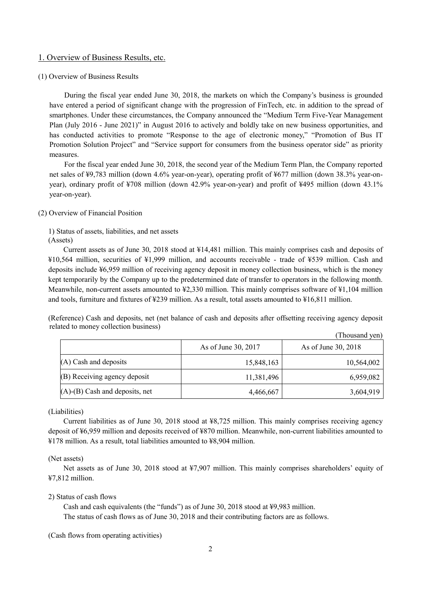# 1. Overview of Business Results, etc.

#### (1) Overview of Business Results

During the fiscal year ended June 30, 2018, the markets on which the Company's business is grounded have entered a period of significant change with the progression of FinTech, etc. in addition to the spread of smartphones. Under these circumstances, the Company announced the "Medium Term Five-Year Management Plan (July 2016 - June 2021)" in August 2016 to actively and boldly take on new business opportunities, and has conducted activities to promote "Response to the age of electronic money," "Promotion of Bus IT Promotion Solution Project" and "Service support for consumers from the business operator side" as priority measures.

For the fiscal year ended June 30, 2018, the second year of the Medium Term Plan, the Company reported net sales of ¥9,783 million (down 4.6% year-on-year), operating profit of ¥677 million (down 38.3% year-onyear), ordinary profit of ¥708 million (down 42.9% year-on-year) and profit of ¥495 million (down 43.1% year-on-year).

#### (2) Overview of Financial Position

1) Status of assets, liabilities, and net assets (Assets)

Current assets as of June 30, 2018 stood at ¥14,481 million. This mainly comprises cash and deposits of ¥10,564 million, securities of ¥1,999 million, and accounts receivable - trade of ¥539 million. Cash and deposits include ¥6,959 million of receiving agency deposit in money collection business, which is the money kept temporarily by the Company up to the predetermined date of transfer to operators in the following month. Meanwhile, non-current assets amounted to ¥2,330 million. This mainly comprises software of ¥1,104 million and tools, furniture and fixtures of ¥239 million. As a result, total assets amounted to ¥16,811 million.

(Reference) Cash and deposits, net (net balance of cash and deposits after offsetting receiving agency deposit related to money collection business)

|                                      |                     | (Thousand yen)      |
|--------------------------------------|---------------------|---------------------|
|                                      | As of June 30, 2017 | As of June 30, 2018 |
| $(A)$ Cash and deposits              | 15,848,163          | 10,564,002          |
| (B) Receiving agency deposit         | 11,381,496          | 6,959,082           |
| $(A)$ - $(B)$ Cash and deposits, net | 4,466,667           | 3,604,919           |

## (Liabilities)

Current liabilities as of June 30, 2018 stood at ¥8,725 million. This mainly comprises receiving agency deposit of ¥6,959 million and deposits received of ¥870 million. Meanwhile, non-current liabilities amounted to ¥178 million. As a result, total liabilities amounted to ¥8,904 million.

## (Net assets)

Net assets as of June 30, 2018 stood at ¥7,907 million. This mainly comprises shareholders' equity of ¥7,812 million.

## 2) Status of cash flows

Cash and cash equivalents (the "funds") as of June 30, 2018 stood at ¥9,983 million. The status of cash flows as of June 30, 2018 and their contributing factors are as follows.

#### (Cash flows from operating activities)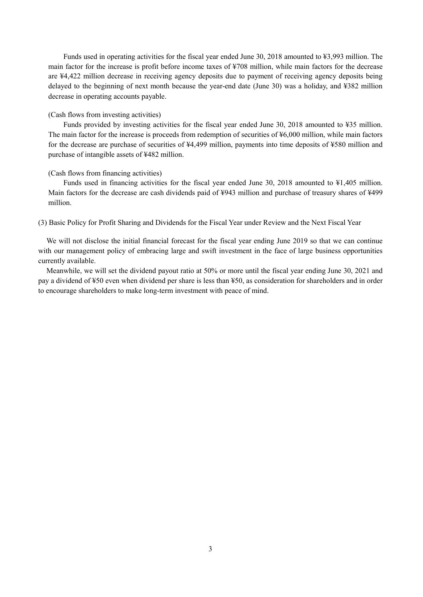Funds used in operating activities for the fiscal year ended June 30, 2018 amounted to ¥3,993 million. The main factor for the increase is profit before income taxes of ¥708 million, while main factors for the decrease are ¥4,422 million decrease in receiving agency deposits due to payment of receiving agency deposits being delayed to the beginning of next month because the year-end date (June 30) was a holiday, and ¥382 million decrease in operating accounts payable.

#### (Cash flows from investing activities)

Funds provided by investing activities for the fiscal year ended June 30, 2018 amounted to ¥35 million. The main factor for the increase is proceeds from redemption of securities of ¥6,000 million, while main factors for the decrease are purchase of securities of ¥4,499 million, payments into time deposits of ¥580 million and purchase of intangible assets of ¥482 million.

#### (Cash flows from financing activities)

Funds used in financing activities for the fiscal year ended June 30, 2018 amounted to ¥1,405 million. Main factors for the decrease are cash dividends paid of ¥943 million and purchase of treasury shares of ¥499 million.

(3) Basic Policy for Profit Sharing and Dividends for the Fiscal Year under Review and the Next Fiscal Year

We will not disclose the initial financial forecast for the fiscal year ending June 2019 so that we can continue with our management policy of embracing large and swift investment in the face of large business opportunities currently available.

Meanwhile, we will set the dividend payout ratio at 50% or more until the fiscal year ending June 30, 2021 and pay a dividend of ¥50 even when dividend per share is less than ¥50, as consideration for shareholders and in order to encourage shareholders to make long-term investment with peace of mind.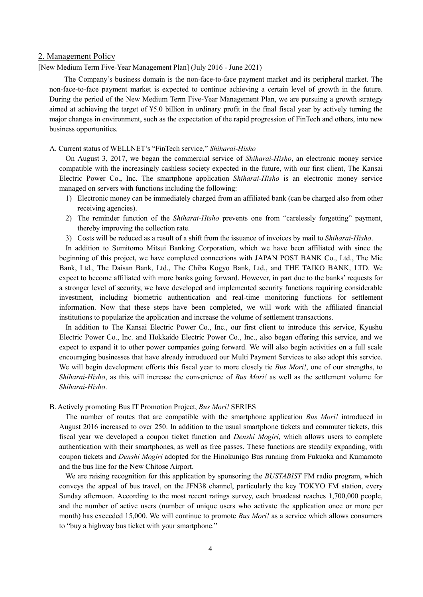# 2. Management Policy

[New Medium Term Five-Year Management Plan] (July 2016 - June 2021)

The Company's business domain is the non-face-to-face payment market and its peripheral market. The non-face-to-face payment market is expected to continue achieving a certain level of growth in the future. During the period of the New Medium Term Five-Year Management Plan, we are pursuing a growth strategy aimed at achieving the target of ¥5.0 billion in ordinary profit in the final fiscal year by actively turning the major changes in environment, such as the expectation of the rapid progression of FinTech and others, into new business opportunities.

# A. Current status of WELLNET's "FinTech service," *Shiharai-Hisho*

On August 3, 2017, we began the commercial service of *Shiharai-Hisho*, an electronic money service compatible with the increasingly cashless society expected in the future, with our first client, The Kansai Electric Power Co., Inc. The smartphone application *Shiharai-Hisho* is an electronic money service managed on servers with functions including the following:

- 1) Electronic money can be immediately charged from an affiliated bank (can be charged also from other receiving agencies).
- 2) The reminder function of the *Shiharai-Hisho* prevents one from "carelessly forgetting" payment, thereby improving the collection rate.
- 3) Costs will be reduced as a result of a shift from the issuance of invoices by mail to *Shiharai-Hisho*.

In addition to Sumitomo Mitsui Banking Corporation, which we have been affiliated with since the beginning of this project, we have completed connections with JAPAN POST BANK Co., Ltd., The Mie Bank, Ltd., The Daisan Bank, Ltd., The Chiba Kogyo Bank, Ltd., and THE TAIKO BANK, LTD. We expect to become affiliated with more banks going forward. However, in part due to the banks' requests for a stronger level of security, we have developed and implemented security functions requiring considerable investment, including biometric authentication and real-time monitoring functions for settlement information. Now that these steps have been completed, we will work with the affiliated financial institutions to popularize the application and increase the volume of settlement transactions.

In addition to The Kansai Electric Power Co., Inc., our first client to introduce this service, Kyushu Electric Power Co., Inc. and Hokkaido Electric Power Co., Inc., also began offering this service, and we expect to expand it to other power companies going forward. We will also begin activities on a full scale encouraging businesses that have already introduced our Multi Payment Services to also adopt this service. We will begin development efforts this fiscal year to more closely tie *Bus Mori!*, one of our strengths, to *Shiharai-Hisho*, as this will increase the convenience of *Bus Mori!* as well as the settlement volume for *Shiharai-Hisho*.

### B. Actively promoting Bus IT Promotion Project, *Bus Mori!* SERIES

The number of routes that are compatible with the smartphone application *Bus Mori!* introduced in August 2016 increased to over 250. In addition to the usual smartphone tickets and commuter tickets, this fiscal year we developed a coupon ticket function and *Denshi Mogiri*, which allows users to complete authentication with their smartphones, as well as free passes. These functions are steadily expanding, with coupon tickets and *Denshi Mogiri* adopted for the Hinokunigo Bus running from Fukuoka and Kumamoto and the bus line for the New Chitose Airport.

We are raising recognition for this application by sponsoring the *BUSTABIST* FM radio program, which conveys the appeal of bus travel, on the JFN38 channel, particularly the key TOKYO FM station, every Sunday afternoon. According to the most recent ratings survey, each broadcast reaches 1,700,000 people, and the number of active users (number of unique users who activate the application once or more per month) has exceeded 15,000. We will continue to promote *Bus Mori!* as a service which allows consumers to "buy a highway bus ticket with your smartphone."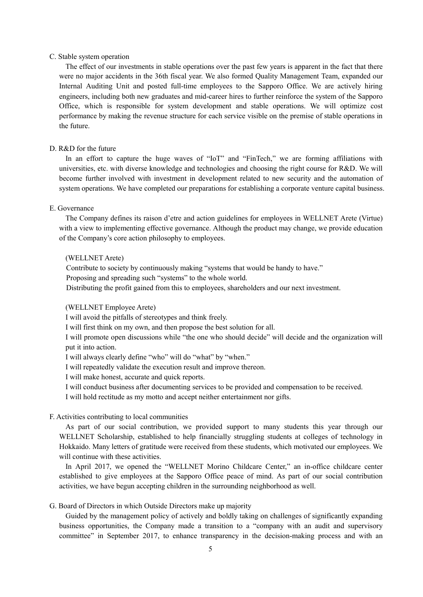# C. Stable system operation

The effect of our investments in stable operations over the past few years is apparent in the fact that there were no major accidents in the 36th fiscal year. We also formed Quality Management Team, expanded our Internal Auditing Unit and posted full-time employees to the Sapporo Office. We are actively hiring engineers, including both new graduates and mid-career hires to further reinforce the system of the Sapporo Office, which is responsible for system development and stable operations. We will optimize cost performance by making the revenue structure for each service visible on the premise of stable operations in the future.

#### D. R&D for the future

In an effort to capture the huge waves of "IoT" and "FinTech," we are forming affiliations with universities, etc. with diverse knowledge and technologies and choosing the right course for R&D. We will become further involved with investment in development related to new security and the automation of system operations. We have completed our preparations for establishing a corporate venture capital business.

# E. Governance

The Company defines its raison d'etre and action guidelines for employees in WELLNET Arete (Virtue) with a view to implementing effective governance. Although the product may change, we provide education of the Company's core action philosophy to employees.

#### (WELLNET Arete)

Contribute to society by continuously making "systems that would be handy to have."

Proposing and spreading such "systems" to the whole world.

Distributing the profit gained from this to employees, shareholders and our next investment.

# (WELLNET Employee Arete)

I will avoid the pitfalls of stereotypes and think freely.

I will first think on my own, and then propose the best solution for all.

I will promote open discussions while "the one who should decide" will decide and the organization will put it into action.

I will always clearly define "who" will do "what" by "when."

I will repeatedly validate the execution result and improve thereon.

I will make honest, accurate and quick reports.

I will conduct business after documenting services to be provided and compensation to be received.

I will hold rectitude as my motto and accept neither entertainment nor gifts.

#### F. Activities contributing to local communities

As part of our social contribution, we provided support to many students this year through our WELLNET Scholarship, established to help financially struggling students at colleges of technology in Hokkaido. Many letters of gratitude were received from these students, which motivated our employees. We will continue with these activities.

In April 2017, we opened the "WELLNET Morino Childcare Center," an in-office childcare center established to give employees at the Sapporo Office peace of mind. As part of our social contribution activities, we have begun accepting children in the surrounding neighborhood as well.

# G. Board of Directors in which Outside Directors make up majority

Guided by the management policy of actively and boldly taking on challenges of significantly expanding business opportunities, the Company made a transition to a "company with an audit and supervisory committee" in September 2017, to enhance transparency in the decision-making process and with an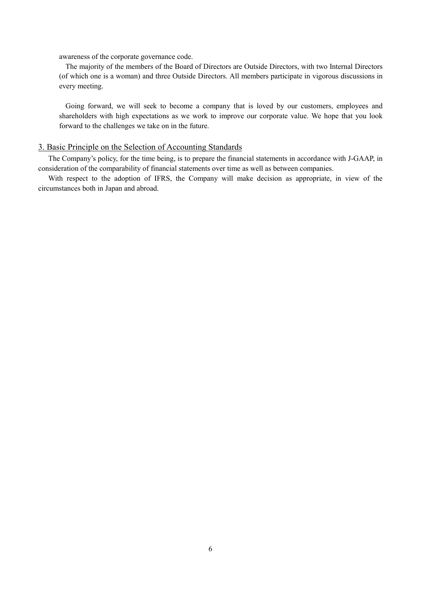awareness of the corporate governance code.

The majority of the members of the Board of Directors are Outside Directors, with two Internal Directors (of which one is a woman) and three Outside Directors. All members participate in vigorous discussions in every meeting.

Going forward, we will seek to become a company that is loved by our customers, employees and shareholders with high expectations as we work to improve our corporate value. We hope that you look forward to the challenges we take on in the future.

# 3. Basic Principle on the Selection of Accounting Standards

The Company's policy, for the time being, is to prepare the financial statements in accordance with J-GAAP, in consideration of the comparability of financial statements over time as well as between companies.

With respect to the adoption of IFRS, the Company will make decision as appropriate, in view of the circumstances both in Japan and abroad.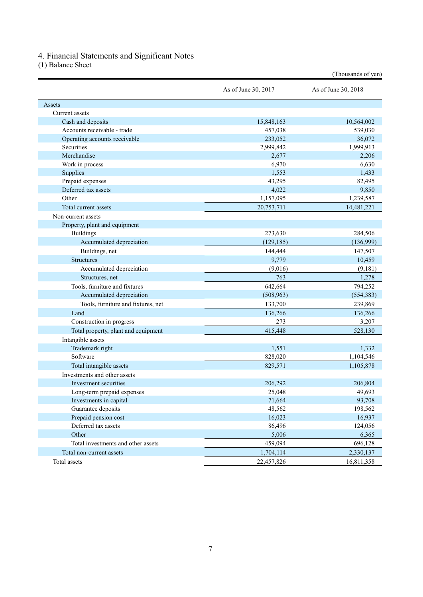# 4. Financial Statements and Significant Notes

(1) Balance Sheet

|                                     |                     | (Thousands of yen)  |
|-------------------------------------|---------------------|---------------------|
|                                     | As of June 30, 2017 | As of June 30, 2018 |
| Assets                              |                     |                     |
| Current assets                      |                     |                     |
| Cash and deposits                   | 15,848,163          | 10,564,002          |
| Accounts receivable - trade         | 457,038             | 539,030             |
| Operating accounts receivable       | 233,052             | 36,072              |
| Securities                          | 2,999,842           | 1,999,913           |
| Merchandise                         | 2,677               | 2,206               |
| Work in process                     | 6,970               | 6,630               |
| Supplies                            | 1,553               | 1,433               |
| Prepaid expenses                    | 43,295              | 82,495              |
| Deferred tax assets                 | 4,022               | 9,850               |
| Other                               | 1,157,095           | 1,239,587           |
| Total current assets                | 20,753,711          | 14,481,221          |
| Non-current assets                  |                     |                     |
| Property, plant and equipment       |                     |                     |
| <b>Buildings</b>                    | 273,630             | 284,506             |
| Accumulated depreciation            | (129, 185)          | (136,999)           |
| Buildings, net                      | 144,444             | 147,507             |
| <b>Structures</b>                   | 9,779               | 10,459              |
| Accumulated depreciation            | (9,016)             | (9,181)             |
| Structures, net                     | 763                 | 1,278               |
| Tools, furniture and fixtures       | 642,664             | 794,252             |
| Accumulated depreciation            | (508, 963)          | (554, 383)          |
| Tools, furniture and fixtures, net  | 133,700             | 239,869             |
| Land                                | 136,266             | 136,266             |
| Construction in progress            | 273                 | 3,207               |
| Total property, plant and equipment | 415,448             | 528,130             |
| Intangible assets                   |                     |                     |
| Trademark right                     | 1,551               | 1,332               |
| Software                            | 828,020             | 1,104,546           |
| Total intangible assets             | 829,571             | 1,105,878           |
| Investments and other assets        |                     |                     |
| Investment securities               | 206,292             | 206,804             |
| Long-term prepaid expenses          | 25,048              | 49,693              |
| Investments in capital              | 71,664              | 93,708              |
| Guarantee deposits                  | 48,562              | 198,562             |
| Prepaid pension cost                | 16,023              | 16,937              |
| Deferred tax assets                 | 86,496              | 124,056             |
| Other                               | 5,006               | 6,365               |
| Total investments and other assets  | 459,094             | 696,128             |
| Total non-current assets            | 1,704,114           | 2,330,137           |
| Total assets                        | 22,457,826          | 16,811,358          |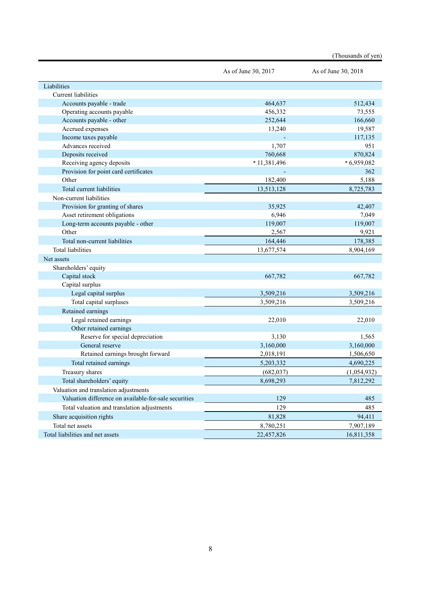|                                                       |                     | (Thousands of yen)  |
|-------------------------------------------------------|---------------------|---------------------|
|                                                       | As of June 30, 2017 | As of June 30, 2018 |
| Liabilities                                           |                     |                     |
| Current liabilities                                   |                     |                     |
| Accounts payable - trade                              | 464,637             | 512,434             |
| Operating accounts payable                            | 456,332             | 73,555              |
| Accounts payable - other                              | 252,644             | 166,660             |
| Accrued expenses                                      | 13,240              | 19,587              |
| Income taxes payable                                  |                     | 117,135             |
| Advances received                                     | 1,707               | 951                 |
| Deposits received                                     | 760,668             | 870,824             |
| Receiving agency deposits                             | * 11,381,496        | $*6,959,082$        |
| Provision for point card certificates                 |                     | 362                 |
| Other                                                 | 182,400             | 5,188               |
| Total current liabilities                             | 13,513,128          | 8,725,783           |
| Non-current liabilities                               |                     |                     |
| Provision for granting of shares                      | 35,925              | 42,407              |
| Asset retirement obligations                          | 6,946               | 7,049               |
| Long-term accounts payable - other                    | 119,007             | 119,007             |
| Other                                                 | 2,567               | 9,921               |
| Total non-current liabilities                         | 164,446             | 178,385             |
| <b>Total liabilities</b>                              | 13,677,574          | 8,904,169           |
| Net assets                                            |                     |                     |
| Shareholders' equity                                  |                     |                     |
| Capital stock                                         | 667,782             | 667,782             |
| Capital surplus                                       |                     |                     |
| Legal capital surplus                                 | 3,509,216           | 3,509,216           |
| Total capital surpluses                               | 3,509,216           | 3,509,216           |
| Retained earnings                                     |                     |                     |
| Legal retained earnings                               | 22,010              | 22,010              |
| Other retained earnings                               |                     |                     |
| Reserve for special depreciation                      | 3,130               | 1,565               |
| General reserve                                       | 3,160,000           | 3,160,000           |
| Retained earnings brought forward                     | 2,018,191           | 1,506,650           |
| Total retained earnings                               | 5,203,332           | 4,690,225           |
| Treasury shares                                       | (682, 037)          | (1,054,932)         |
| Total shareholders' equity                            | 8,698,293           | 7,812,292           |
| Valuation and translation adjustments                 |                     |                     |
| Valuation difference on available-for-sale securities | 129                 | 485                 |
| Total valuation and translation adjustments           | 129                 | 485                 |
| Share acquisition rights                              | 81,828              | 94,411              |
| Total net assets                                      | 8,780,251           | 7,907,189           |
| Total liabilities and net assets                      | 22,457,826          | 16,811,358          |
|                                                       |                     |                     |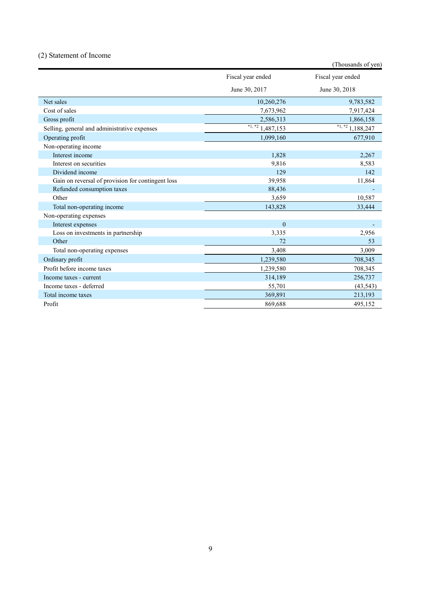# (2) Statement of Income

|                                                   |                       | (Thousands of yen)    |
|---------------------------------------------------|-----------------------|-----------------------|
|                                                   | Fiscal year ended     | Fiscal year ended     |
|                                                   | June 30, 2017         | June 30, 2018         |
| Net sales                                         | 10,260,276            | 9,783,582             |
| Cost of sales                                     | 7,673,962             | 7,917,424             |
| Gross profit                                      | 2,586,313             | 1,866,158             |
| Selling, general and administrative expenses      | $*1, *2$<br>1,487,153 | $*1, *2$<br>1,188,247 |
| Operating profit                                  | 1,099,160             | 677,910               |
| Non-operating income                              |                       |                       |
| Interest income                                   | 1,828                 | 2,267                 |
| Interest on securities                            | 9,816                 | 8,583                 |
| Dividend income                                   | 129                   | 142                   |
| Gain on reversal of provision for contingent loss | 39,958                | 11,864                |
| Refunded consumption taxes                        | 88,436                |                       |
| Other                                             | 3,659                 | 10,587                |
| Total non-operating income                        | 143,828               | 33,444                |
| Non-operating expenses                            |                       |                       |
| Interest expenses                                 | $\mathbf{0}$          |                       |
| Loss on investments in partnership                | 3,335                 | 2,956                 |
| Other                                             | 72                    | 53                    |
| Total non-operating expenses                      | 3,408                 | 3,009                 |
| Ordinary profit                                   | 1,239,580             | 708,345               |
| Profit before income taxes                        | 1,239,580             | 708,345               |
| Income taxes - current                            | 314,189               | 256,737               |
| Income taxes - deferred                           | 55,701                | (43, 543)             |
| Total income taxes                                | 369,891               | 213,193               |
| Profit                                            | 869,688               | 495,152               |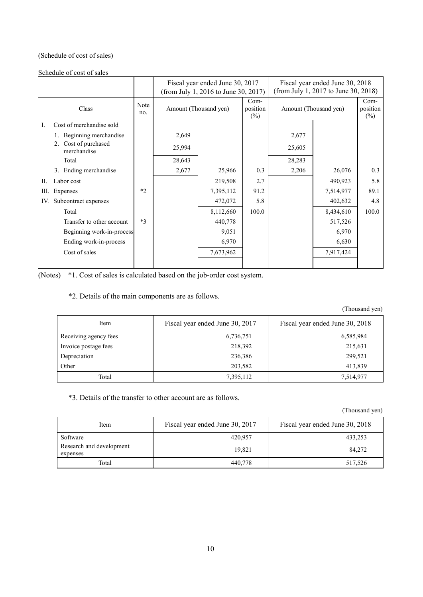# (Schedule of cost of sales)

# Schedule of cost of sales

|                                        |             | Fiscal year ended June 30, 2017<br>(from July 1, 2016 to June 30, 2017) |           |                              |                       | Fiscal year ended June 30, 2018<br>(from July 1, 2017 to June 30, 2018) |                              |
|----------------------------------------|-------------|-------------------------------------------------------------------------|-----------|------------------------------|-----------------------|-------------------------------------------------------------------------|------------------------------|
| Class                                  | Note<br>no. | Amount (Thousand yen)                                                   |           | $Com-$<br>position<br>$(\%)$ | Amount (Thousand yen) |                                                                         | $Com-$<br>position<br>$(\%)$ |
| Cost of merchandise sold<br>I.         |             |                                                                         |           |                              |                       |                                                                         |                              |
| Beginning merchandise                  |             | 2,649                                                                   |           |                              | 2,677                 |                                                                         |                              |
| Cost of purchased<br>2.<br>merchandise |             | 25,994                                                                  |           |                              | 25,605                |                                                                         |                              |
| Total                                  |             | 28,643                                                                  |           |                              | 28,283                |                                                                         |                              |
| 3. Ending merchandise                  |             | 2,677                                                                   | 25,966    | 0.3                          | 2,206                 | 26,076                                                                  | 0.3                          |
| Labor cost<br>П.                       |             |                                                                         | 219,508   | 2.7                          |                       | 490,923                                                                 | 5.8                          |
| Ш.<br>Expenses                         | $*2$        |                                                                         | 7,395,112 | 91.2                         |                       | 7,514,977                                                               | 89.1                         |
| Subcontract expenses<br>IV.            |             |                                                                         | 472,072   | 5.8                          |                       | 402,632                                                                 | 4.8                          |
| Total                                  |             |                                                                         | 8,112,660 | 100.0                        |                       | 8,434,610                                                               | 100.0                        |
| Transfer to other account              | $*3$        |                                                                         | 440,778   |                              |                       | 517,526                                                                 |                              |
| Beginning work-in-process              |             |                                                                         | 9,051     |                              |                       | 6,970                                                                   |                              |
| Ending work-in-process                 |             |                                                                         | 6,970     |                              |                       | 6,630                                                                   |                              |
| Cost of sales                          |             |                                                                         | 7,673,962 |                              |                       | 7,917,424                                                               |                              |
|                                        |             |                                                                         |           |                              |                       |                                                                         |                              |

(Notes) \*1. Cost of sales is calculated based on the job-order cost system.

\*2. Details of the main components are as follows.

(Thousand yen)

| Item                  | Fiscal year ended June 30, 2017 | Fiscal year ended June 30, 2018 |
|-----------------------|---------------------------------|---------------------------------|
| Receiving agency fees | 6,736,751                       | 6,585,984                       |
| Invoice postage fees  | 218,392                         | 215,631                         |
| Depreciation          | 236,386                         | 299,521                         |
| Other                 | 203,582                         | 413,839                         |
| Total                 | 7,395,112                       | 7,514,977                       |

\*3. Details of the transfer to other account are as follows.

(Thousand yen)

| Item                                 | Fiscal year ended June 30, 2017 | Fiscal year ended June 30, 2018 |
|--------------------------------------|---------------------------------|---------------------------------|
| Software                             | 420.957                         | 433,253                         |
| Research and development<br>expenses | 19.821                          | 84.272                          |
| Total                                | 440,778                         | 517,526                         |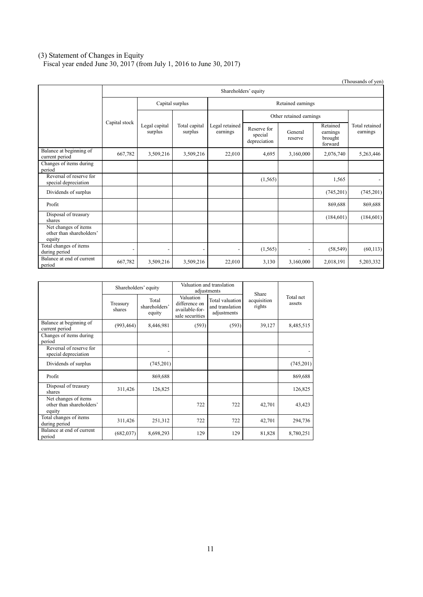#### (3) Statement of Changes in Equity

Fiscal year ended June 30, 2017 (from July 1, 2016 to June 30, 2017)

|                                                            |                          |                                      |                          |                            |                                        |                         |                                            | (Thousands of yen)         |  |
|------------------------------------------------------------|--------------------------|--------------------------------------|--------------------------|----------------------------|----------------------------------------|-------------------------|--------------------------------------------|----------------------------|--|
|                                                            |                          | Shareholders' equity                 |                          |                            |                                        |                         |                                            |                            |  |
|                                                            |                          | Capital surplus<br>Retained earnings |                          |                            |                                        |                         |                                            |                            |  |
|                                                            |                          |                                      |                          |                            |                                        | Other retained earnings |                                            |                            |  |
|                                                            | Capital stock            | Legal capital<br>surplus             | Total capital<br>surplus | Legal retained<br>earnings | Reserve for<br>special<br>depreciation | General<br>reserve      | Retained<br>earnings<br>brought<br>forward | Total retained<br>earnings |  |
| Balance at beginning of<br>current period                  | 667,782                  | 3,509,216                            | 3,509,216                | 22,010                     | 4,695                                  | 3,160,000               | 2,076,740                                  | 5,263,446                  |  |
| Changes of items during<br>period                          |                          |                                      |                          |                            |                                        |                         |                                            |                            |  |
| Reversal of reserve for<br>special depreciation            |                          |                                      |                          |                            | (1, 565)                               |                         | 1,565                                      |                            |  |
| Dividends of surplus                                       |                          |                                      |                          |                            |                                        |                         | (745,201)                                  | (745,201)                  |  |
| Profit                                                     |                          |                                      |                          |                            |                                        |                         | 869,688                                    | 869,688                    |  |
| Disposal of treasury<br>shares                             |                          |                                      |                          |                            |                                        |                         | (184, 601)                                 | (184,601)                  |  |
| Net changes of items<br>other than shareholders'<br>equity |                          |                                      |                          |                            |                                        |                         |                                            |                            |  |
| Total changes of items<br>during period                    | $\overline{\phantom{0}}$ | $\overline{\phantom{0}}$             | $\overline{\phantom{0}}$ | $\overline{\phantom{0}}$   | (1, 565)                               |                         | (58, 549)                                  | (60, 113)                  |  |
| Balance at end of current<br>period                        | 667,782                  | 3,509,216                            | 3,509,216                | 22,010                     | 3,130                                  | 3,160,000               | 2,018,191                                  | 5,203,332                  |  |

|                                                            | Shareholders' equity |                                  | Valuation and translation<br>adjustments                        |                                                   |                                |                     |
|------------------------------------------------------------|----------------------|----------------------------------|-----------------------------------------------------------------|---------------------------------------------------|--------------------------------|---------------------|
|                                                            | Treasury<br>shares   | Total<br>shareholders'<br>equity | Valuation<br>difference on<br>available-for-<br>sale securities | Total valuation<br>and translation<br>adjustments | Share<br>acquisition<br>rights | Total net<br>assets |
| Balance at beginning of<br>current period                  | (993, 464)           | 8,446,981                        | (593)                                                           | (593)                                             | 39,127                         | 8,485,515           |
| Changes of items during<br>period                          |                      |                                  |                                                                 |                                                   |                                |                     |
| Reversal of reserve for<br>special depreciation            |                      |                                  |                                                                 |                                                   |                                |                     |
| Dividends of surplus                                       |                      | (745, 201)                       |                                                                 |                                                   |                                | (745,201)           |
| Profit                                                     |                      | 869,688                          |                                                                 |                                                   |                                | 869,688             |
| Disposal of treasury<br>shares                             | 311,426              | 126,825                          |                                                                 |                                                   |                                | 126,825             |
| Net changes of items<br>other than shareholders'<br>equity |                      |                                  | 722                                                             | 722                                               | 42,701                         | 43,423              |
| Total changes of items<br>during period                    | 311,426              | 251,312                          | 722                                                             | 722                                               | 42,701                         | 294,736             |
| Balance at end of current<br>period                        | (682, 037)           | 8,698,293                        | 129                                                             | 129                                               | 81,828                         | 8,780,251           |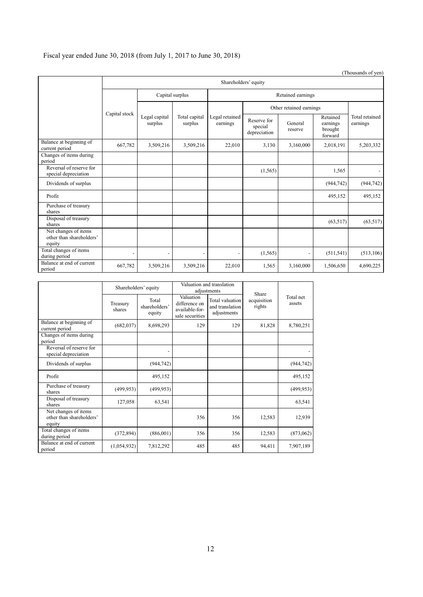# Fiscal year ended June 30, 2018 (from July 1, 2017 to June 30, 2018)

|                                                            | Shareholders' equity     |                          |                          |                            |                                        |                         |                                            |                            |  |
|------------------------------------------------------------|--------------------------|--------------------------|--------------------------|----------------------------|----------------------------------------|-------------------------|--------------------------------------------|----------------------------|--|
|                                                            | Capital surplus          |                          |                          | Retained earnings          |                                        |                         |                                            |                            |  |
|                                                            | Capital stock            |                          |                          |                            |                                        | Other retained earnings |                                            |                            |  |
|                                                            |                          | Legal capital<br>surplus | Total capital<br>surplus | Legal retained<br>earnings | Reserve for<br>special<br>depreciation | General<br>reserve      | Retained<br>earnings<br>brought<br>forward | Total retained<br>earnings |  |
| Balance at beginning of<br>current period                  | 667,782                  | 3,509,216                | 3,509,216                | 22,010                     | 3,130                                  | 3,160,000               | 2,018,191                                  | 5,203,332                  |  |
| Changes of items during<br>period                          |                          |                          |                          |                            |                                        |                         |                                            |                            |  |
| Reversal of reserve for<br>special depreciation            |                          |                          |                          |                            | (1, 565)                               |                         | 1,565                                      | $\overline{\phantom{0}}$   |  |
| Dividends of surplus                                       |                          |                          |                          |                            |                                        |                         | (944, 742)                                 | (944, 742)                 |  |
| Profit                                                     |                          |                          |                          |                            |                                        |                         | 495,152                                    | 495,152                    |  |
| Purchase of treasury<br>shares                             |                          |                          |                          |                            |                                        |                         |                                            |                            |  |
| Disposal of treasury<br>shares                             |                          |                          |                          |                            |                                        |                         | (63, 517)                                  | (63, 517)                  |  |
| Net changes of items<br>other than shareholders'<br>equity |                          |                          |                          |                            |                                        |                         |                                            |                            |  |
| Total changes of items<br>during period                    | $\overline{\phantom{a}}$ |                          |                          |                            | (1, 565)                               |                         | (511, 541)                                 | (513, 106)                 |  |
| Balance at end of current<br>period                        | 667,782                  | 3,509,216                | 3,509,216                | 22,010                     | 1,565                                  | 3,160,000               | 1,506,650                                  | 4,690,225                  |  |

|                                                            | Shareholders' equity |                                  | Valuation and translation<br>adjustments                        |                                                   | Share                 |                     |
|------------------------------------------------------------|----------------------|----------------------------------|-----------------------------------------------------------------|---------------------------------------------------|-----------------------|---------------------|
|                                                            | Treasury<br>shares   | Total<br>shareholders'<br>equity | Valuation<br>difference on<br>available-for-<br>sale securities | Total valuation<br>and translation<br>adjustments | acquisition<br>rights | Total net<br>assets |
| Balance at beginning of<br>current period                  | (682, 037)           | 8,698,293                        | 129                                                             | 129                                               | 81,828                | 8,780,251           |
| Changes of items during<br>period                          |                      |                                  |                                                                 |                                                   |                       |                     |
| Reversal of reserve for<br>special depreciation            |                      | $\overline{\phantom{0}}$         |                                                                 |                                                   |                       |                     |
| Dividends of surplus                                       |                      | (944, 742)                       |                                                                 |                                                   |                       | (944, 742)          |
| Profit                                                     |                      | 495,152                          |                                                                 |                                                   |                       | 495,152             |
| Purchase of treasury<br>shares                             | (499, 953)           | (499, 953)                       |                                                                 |                                                   |                       | (499, 953)          |
| Disposal of treasury<br>shares                             | 127,058              | 63,541                           |                                                                 |                                                   |                       | 63,541              |
| Net changes of items<br>other than shareholders'<br>equity |                      |                                  | 356                                                             | 356                                               | 12,583                | 12,939              |
| Total changes of items<br>during period                    | (372, 894)           | (886,001)                        | 356                                                             | 356                                               | 12,583                | (873,062)           |
| Balance at end of current<br>period                        | (1,054,932)          | 7,812,292                        | 485                                                             | 485                                               | 94,411                | 7,907,189           |

(Thousands of yen)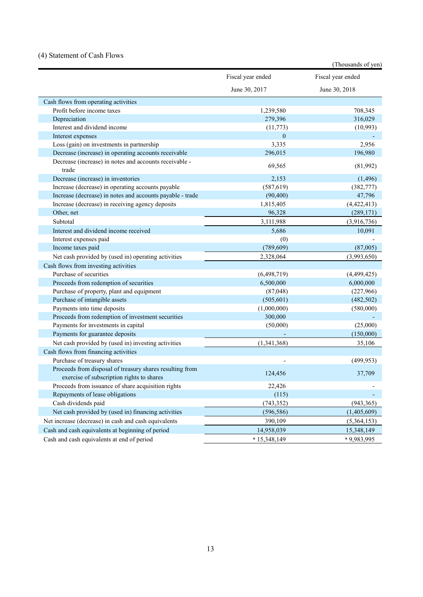# (4) Statement of Cash Flows

|                                                                 |                   | (Thousands of yen) |
|-----------------------------------------------------------------|-------------------|--------------------|
|                                                                 | Fiscal year ended | Fiscal year ended  |
|                                                                 | June 30, 2017     | June 30, 2018      |
| Cash flows from operating activities                            |                   |                    |
| Profit before income taxes                                      | 1,239,580         | 708,345            |
| Depreciation                                                    | 279,396           | 316,029            |
| Interest and dividend income                                    | (11, 773)         | (10,993)           |
| Interest expenses                                               | $\mathbf{0}$      |                    |
| Loss (gain) on investments in partnership                       | 3,335             | 2,956              |
| Decrease (increase) in operating accounts receivable            | 296,015           | 196,980            |
| Decrease (increase) in notes and accounts receivable -<br>trade | 69,565            | (81,992)           |
| Decrease (increase) in inventories                              | 2,153             | (1, 496)           |
| Increase (decrease) in operating accounts payable               | (587, 619)        | (382, 777)         |
| Increase (decrease) in notes and accounts payable - trade       | (90, 400)         | 47,796             |
| Increase (decrease) in receiving agency deposits                | 1,815,405         | (4,422,413)        |
| Other, net                                                      | 96,328            | (289, 171)         |
| Subtotal                                                        | 3,111,988         | (3,916,736)        |
| Interest and dividend income received                           | 5,686             | 10,091             |
| Interest expenses paid                                          | (0)               |                    |
| Income taxes paid                                               | (789, 609)        | (87,005)           |
| Net cash provided by (used in) operating activities             | 2,328,064         | (3,993,650)        |
| Cash flows from investing activities                            |                   |                    |
| Purchase of securities                                          | (6,498,719)       | (4,499,425)        |
| Proceeds from redemption of securities                          | 6,500,000         | 6,000,000          |
| Purchase of property, plant and equipment                       | (87, 048)         | (227,966)          |
| Purchase of intangible assets                                   | (505, 601)        | (482, 502)         |
| Payments into time deposits                                     | (1,000,000)       | (580,000)          |
| Proceeds from redemption of investment securities               | 300,000           |                    |
| Payments for investments in capital                             | (50,000)          | (25,000)           |
| Payments for guarantee deposits                                 |                   | (150,000)          |
| Net cash provided by (used in) investing activities             | (1,341,368)       | 35,106             |
| Cash flows from financing activities                            |                   |                    |
| Purchase of treasury shares                                     |                   | (499, 953)         |
| Proceeds from disposal of treasury shares resulting from        |                   |                    |
| exercise of subscription rights to shares                       | 124,456           | 37,709             |
| Proceeds from issuance of share acquisition rights              | 22,426            |                    |
| Repayments of lease obligations                                 | (115)             |                    |
| Cash dividends paid                                             | (743, 352)        | (943, 365)         |
| Net cash provided by (used in) financing activities             | (596, 586)        | (1,405,609)        |
| Net increase (decrease) in cash and cash equivalents            | 390,109           | (5,364,153)        |
| Cash and cash equivalents at beginning of period                | 14,958,039        | 15,348,149         |
| Cash and cash equivalents at end of period                      | $*15,348,149$     | *9,983,995         |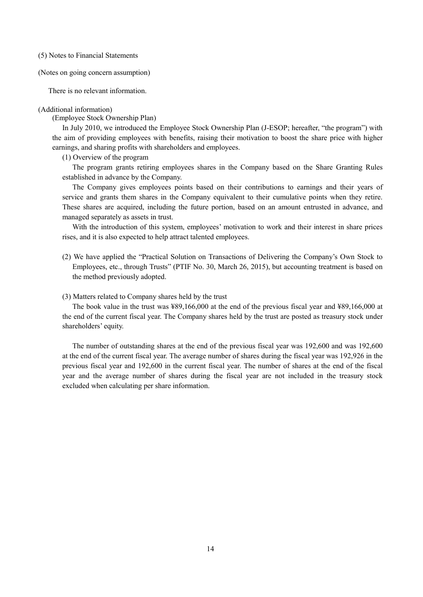(5) Notes to Financial Statements

(Notes on going concern assumption)

There is no relevant information.

#### (Additional information)

(Employee Stock Ownership Plan)

In July 2010, we introduced the Employee Stock Ownership Plan (J-ESOP; hereafter, "the program") with the aim of providing employees with benefits, raising their motivation to boost the share price with higher earnings, and sharing profits with shareholders and employees.

(1) Overview of the program

The program grants retiring employees shares in the Company based on the Share Granting Rules established in advance by the Company.

The Company gives employees points based on their contributions to earnings and their years of service and grants them shares in the Company equivalent to their cumulative points when they retire. These shares are acquired, including the future portion, based on an amount entrusted in advance, and managed separately as assets in trust.

With the introduction of this system, employees' motivation to work and their interest in share prices rises, and it is also expected to help attract talented employees.

(2) We have applied the "Practical Solution on Transactions of Delivering the Company's Own Stock to Employees, etc., through Trusts" (PTIF No. 30, March 26, 2015), but accounting treatment is based on the method previously adopted.

## (3) Matters related to Company shares held by the trust

The book value in the trust was ¥89,166,000 at the end of the previous fiscal year and ¥89,166,000 at the end of the current fiscal year. The Company shares held by the trust are posted as treasury stock under shareholders' equity.

The number of outstanding shares at the end of the previous fiscal year was 192,600 and was 192,600 at the end of the current fiscal year. The average number of shares during the fiscal year was 192,926 in the previous fiscal year and 192,600 in the current fiscal year. The number of shares at the end of the fiscal year and the average number of shares during the fiscal year are not included in the treasury stock excluded when calculating per share information.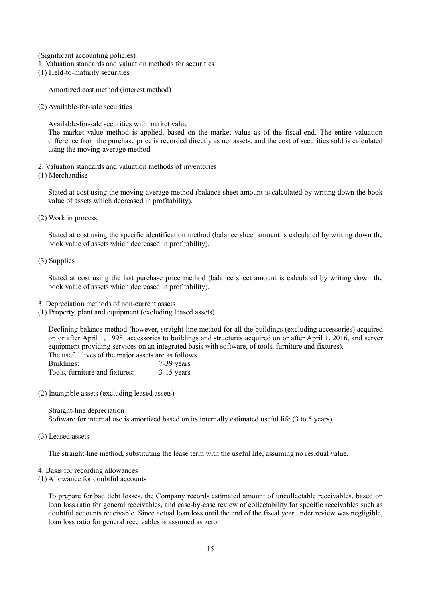(Significant accounting policies)

- 1. Valuation standards and valuation methods for securities
- (1) Held-to-maturity securities

Amortized cost method (interest method)

(2) Available-for-sale securities

Available-for-sale securities with market value

The market value method is applied, based on the market value as of the fiscal-end. The entire valuation difference from the purchase price is recorded directly as net assets, and the cost of securities sold is calculated using the moving-average method.

- 2. Valuation standards and valuation methods of inventories
- (1) Merchandise

Stated at cost using the moving-average method (balance sheet amount is calculated by writing down the book value of assets which decreased in profitability).

(2) Work in process

Stated at cost using the specific identification method (balance sheet amount is calculated by writing down the book value of assets which decreased in profitability).

(3) Supplies

Stated at cost using the last purchase price method (balance sheet amount is calculated by writing down the book value of assets which decreased in profitability).

- 3. Depreciation methods of non-current assets
- (1) Property, plant and equipment (excluding leased assets)

Declining balance method (however, straight-line method for all the buildings (excluding accessories) acquired on or after April 1, 1998, accessories to buildings and structures acquired on or after April 1, 2016, and server equipment providing services on an integrated basis with software, of tools, furniture and fixtures). The useful lives of the major assets are as follows.

| Buildings:                     | 7-39 years   |
|--------------------------------|--------------|
| Tools, furniture and fixtures: | $3-15$ years |

(2) Intangible assets (excluding leased assets)

Straight-line depreciation Software for internal use is amortized based on its internally estimated useful life (3 to 5 years).

(3) Leased assets

The straight-line method, substituting the lease term with the useful life, assuming no residual value.

- 4. Basis for recording allowances
- (1) Allowance for doubtful accounts

To prepare for bad debt losses, the Company records estimated amount of uncollectable receivables, based on loan loss ratio for general receivables, and case-by-case review of collectability for specific receivables such as doubtful accounts receivable. Since actual loan loss until the end of the fiscal year under review was negligible, loan loss ratio for general receivables is assumed as zero.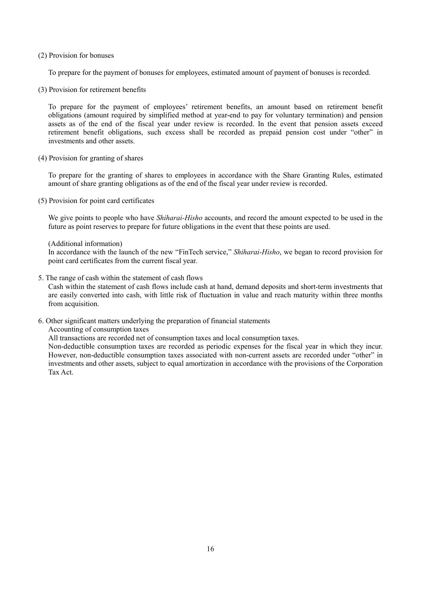## (2) Provision for bonuses

To prepare for the payment of bonuses for employees, estimated amount of payment of bonuses is recorded.

(3) Provision for retirement benefits

To prepare for the payment of employees' retirement benefits, an amount based on retirement benefit obligations (amount required by simplified method at year-end to pay for voluntary termination) and pension assets as of the end of the fiscal year under review is recorded. In the event that pension assets exceed retirement benefit obligations, such excess shall be recorded as prepaid pension cost under "other" in investments and other assets.

(4) Provision for granting of shares

To prepare for the granting of shares to employees in accordance with the Share Granting Rules, estimated amount of share granting obligations as of the end of the fiscal year under review is recorded.

(5) Provision for point card certificates

We give points to people who have *Shiharai-Hisho* accounts, and record the amount expected to be used in the future as point reserves to prepare for future obligations in the event that these points are used.

## (Additional information)

In accordance with the launch of the new "FinTech service," *Shiharai-Hisho*, we began to record provision for point card certificates from the current fiscal year.

5. The range of cash within the statement of cash flows

Cash within the statement of cash flows include cash at hand, demand deposits and short-term investments that are easily converted into cash, with little risk of fluctuation in value and reach maturity within three months from acquisition.

6. Other significant matters underlying the preparation of financial statements

Accounting of consumption taxes

All transactions are recorded net of consumption taxes and local consumption taxes.

Non-deductible consumption taxes are recorded as periodic expenses for the fiscal year in which they incur. However, non-deductible consumption taxes associated with non-current assets are recorded under "other" in investments and other assets, subject to equal amortization in accordance with the provisions of the Corporation Tax Act.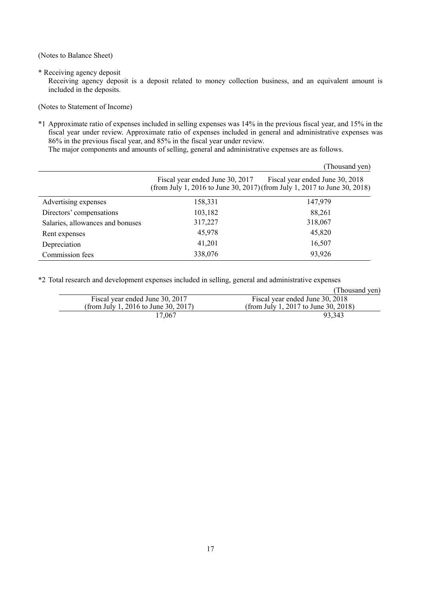(Notes to Balance Sheet)

\* Receiving agency deposit

Receiving agency deposit is a deposit related to money collection business, and an equivalent amount is included in the deposits.

(Notes to Statement of Income)

\*1 Approximate ratio of expenses included in selling expenses was 14% in the previous fiscal year, and 15% in the fiscal year under review. Approximate ratio of expenses included in general and administrative expenses was 86% in the previous fiscal year, and 85% in the fiscal year under review.

The major components and amounts of selling, general and administrative expenses are as follows.

|                                  |                                 | (Thousand yen)                                                                                               |
|----------------------------------|---------------------------------|--------------------------------------------------------------------------------------------------------------|
|                                  | Fiscal year ended June 30, 2017 | Fiscal year ended June 30, 2018<br>(from July 1, 2016 to June 30, 2017) (from July 1, 2017 to June 30, 2018) |
| Advertising expenses             | 158,331                         | 147,979                                                                                                      |
| Directors' compensations         | 103,182                         | 88,261                                                                                                       |
| Salaries, allowances and bonuses | 317,227                         | 318,067                                                                                                      |
| Rent expenses                    | 45,978                          | 45,820                                                                                                       |
| Depreciation                     | 41,201                          | 16,507                                                                                                       |
| Commission fees                  | 338,076                         | 93,926                                                                                                       |

\*2 Total research and development expenses included in selling, general and administrative expenses

|                                      | (Thousand yen)                       |
|--------------------------------------|--------------------------------------|
| Fiscal year ended June 30, 2017      | Fiscal year ended June 30, 2018      |
| (from July 1, 2016 to June 30, 2017) | (from July 1, 2017 to June 30, 2018) |
| 17.067                               | 93.343                               |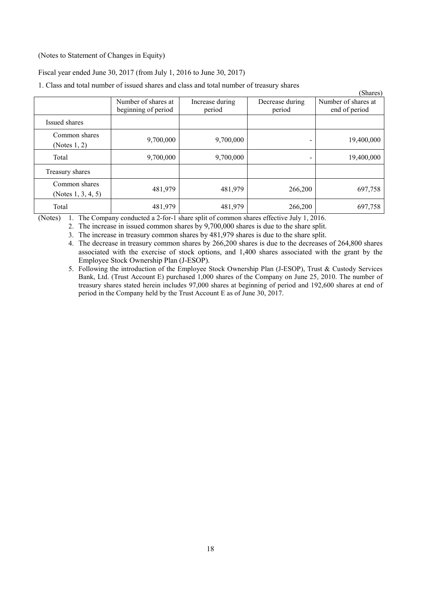# (Notes to Statement of Changes in Equity)

#### Fiscal year ended June 30, 2017 (from July 1, 2016 to June 30, 2017)

1. Class and total number of issued shares and class and total number of treasury shares

|                                        |                                            |                           |                           | (Shares)                             |
|----------------------------------------|--------------------------------------------|---------------------------|---------------------------|--------------------------------------|
|                                        | Number of shares at<br>beginning of period | Increase during<br>period | Decrease during<br>period | Number of shares at<br>end of period |
| Issued shares                          |                                            |                           |                           |                                      |
| Common shares<br>(Notes $1, 2$ )       | 9,700,000                                  | 9,700,000                 |                           | 19,400,000                           |
| Total                                  | 9,700,000                                  | 9,700,000                 |                           | 19,400,000                           |
| Treasury shares                        |                                            |                           |                           |                                      |
| Common shares<br>(Notes $1, 3, 4, 5$ ) | 481,979                                    | 481,979                   | 266,200                   | 697,758                              |
| Total                                  | 481,979                                    | 481,979                   | 266,200                   | 697,758                              |

(Notes) 1. The Company conducted a 2-for-1 share split of common shares effective July 1, 2016.

2. The increase in issued common shares by 9,700,000 shares is due to the share split.

3. The increase in treasury common shares by 481,979 shares is due to the share split.

4. The decrease in treasury common shares by 266,200 shares is due to the decreases of 264,800 shares associated with the exercise of stock options, and 1,400 shares associated with the grant by the Employee Stock Ownership Plan (J-ESOP).

5. Following the introduction of the Employee Stock Ownership Plan (J-ESOP), Trust & Custody Services Bank, Ltd. (Trust Account E) purchased 1,000 shares of the Company on June 25, 2010. The number of treasury shares stated herein includes 97,000 shares at beginning of period and 192,600 shares at end of period in the Company held by the Trust Account E as of June 30, 2017.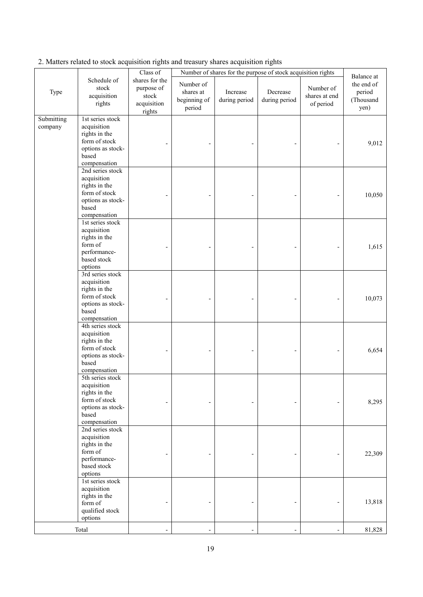|                       |                                                                                                                 | Class $of$                                                     | Number of shares for the purpose of stock acquisition rights |                           |                           | Balance at                              |                                           |
|-----------------------|-----------------------------------------------------------------------------------------------------------------|----------------------------------------------------------------|--------------------------------------------------------------|---------------------------|---------------------------|-----------------------------------------|-------------------------------------------|
| Type                  | Schedule of<br>stock<br>acquisition<br>rights                                                                   | shares for the<br>purpose of<br>stock<br>acquisition<br>rights | Number of<br>shares at<br>beginning of<br>period             | Increase<br>during period | Decrease<br>during period | Number of<br>shares at end<br>of period | the end of<br>period<br>(Thousand<br>yen) |
| Submitting<br>company | 1st series stock<br>acquisition<br>rights in the<br>form of stock<br>options as stock-<br>based<br>compensation |                                                                |                                                              |                           |                           |                                         | 9,012                                     |
|                       | 2nd series stock<br>acquisition<br>rights in the<br>form of stock<br>options as stock-<br>based<br>compensation |                                                                |                                                              |                           |                           |                                         | 10,050                                    |
|                       | 1st series stock<br>acquisition<br>rights in the<br>form of<br>performance-<br>based stock<br>options           |                                                                |                                                              |                           |                           |                                         | 1,615                                     |
|                       | 3rd series stock<br>acquisition<br>rights in the<br>form of stock<br>options as stock-<br>based<br>compensation |                                                                |                                                              |                           |                           |                                         | 10,073                                    |
|                       | 4th series stock<br>acquisition<br>rights in the<br>form of stock<br>options as stock-<br>based<br>compensation |                                                                |                                                              |                           |                           |                                         | 6,654                                     |
|                       | 5th series stock<br>acquisition<br>rights in the<br>form of stock<br>options as stock-<br>based<br>compensation |                                                                |                                                              |                           |                           |                                         | 8,295                                     |
|                       | 2nd series stock<br>acquisition<br>rights in the<br>form of<br>performance-<br>based stock<br>options           |                                                                |                                                              |                           |                           |                                         | 22,309                                    |
|                       | 1st series stock<br>acquisition<br>rights in the<br>form of<br>qualified stock<br>options                       |                                                                |                                                              |                           |                           |                                         | 13,818                                    |
|                       | Total                                                                                                           |                                                                |                                                              |                           |                           |                                         | 81,828                                    |

# 2. Matters related to stock acquisition rights and treasury shares acquisition rights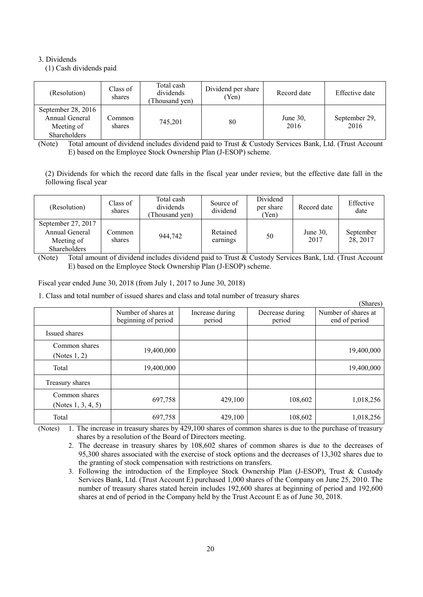# 3. Dividends

(1) Cash dividends paid

| (Resolution)                                                       | Class of<br>shares | Total cash<br>dividends<br>Thousand yen) | Dividend per share<br>'Yen) | Record date         | Effective date        |
|--------------------------------------------------------------------|--------------------|------------------------------------------|-----------------------------|---------------------|-----------------------|
| September 28, 2016<br>Annual General<br>Meeting of<br>Shareholders | Common:<br>shares  | 745.201                                  | 80                          | June $30$ .<br>2016 | September 29,<br>2016 |

(Note) Total amount of dividend includes dividend paid to Trust & Custody Services Bank, Ltd. (Trust Account E) based on the Employee Stock Ownership Plan (J-ESOP) scheme.

(2) Dividends for which the record date falls in the fiscal year under review, but the effective date fall in the following fiscal year

| (Resolution)                                                              | Class of<br>shares | Total cash<br>dividends<br>Thousand yen) | Source of<br>dividend | Dividend<br>per share<br>(Yen) | Record date         | Effective<br>date     |
|---------------------------------------------------------------------------|--------------------|------------------------------------------|-----------------------|--------------------------------|---------------------|-----------------------|
| September 27, 2017<br>Annual General<br>Meeting of<br><b>Shareholders</b> | common_<br>shares  | 944,742                                  | Retained<br>earnings  | 50                             | June $30$ .<br>2017 | September<br>28, 2017 |

(Note) Total amount of dividend includes dividend paid to Trust & Custody Services Bank, Ltd. (Trust Account E) based on the Employee Stock Ownership Plan (J-ESOP) scheme.

Fiscal year ended June 30, 2018 (from July 1, 2017 to June 30, 2018)

1. Class and total number of issued shares and class and total number of treasury shares

|                                        |                                            |                           |                           | (Shares)                             |
|----------------------------------------|--------------------------------------------|---------------------------|---------------------------|--------------------------------------|
|                                        | Number of shares at<br>beginning of period | Increase during<br>period | Decrease during<br>period | Number of shares at<br>end of period |
| Issued shares                          |                                            |                           |                           |                                      |
| Common shares<br>(Notes 1, 2)          | 19,400,000                                 |                           |                           | 19,400,000                           |
| Total                                  | 19,400,000                                 |                           |                           | 19,400,000                           |
| Treasury shares                        |                                            |                           |                           |                                      |
| Common shares<br>(Notes $1, 3, 4, 5$ ) | 697,758                                    | 429,100                   | 108,602                   | 1,018,256                            |
| Total                                  | 697,758                                    | 429,100                   | 108,602                   | 1,018,256                            |

(Notes) 1. The increase in treasury shares by 429,100 shares of common shares is due to the purchase of treasury shares by a resolution of the Board of Directors meeting.

2. The decrease in treasury shares by 108,602 shares of common shares is due to the decreases of 95,300 shares associated with the exercise of stock options and the decreases of 13,302 shares due to the granting of stock compensation with restrictions on transfers.

3. Following the introduction of the Employee Stock Ownership Plan (J-ESOP), Trust & Custody Services Bank, Ltd. (Trust Account E) purchased 1,000 shares of the Company on June 25, 2010. The number of treasury shares stated herein includes 192,600 shares at beginning of period and 192,600 shares at end of period in the Company held by the Trust Account E as of June 30, 2018.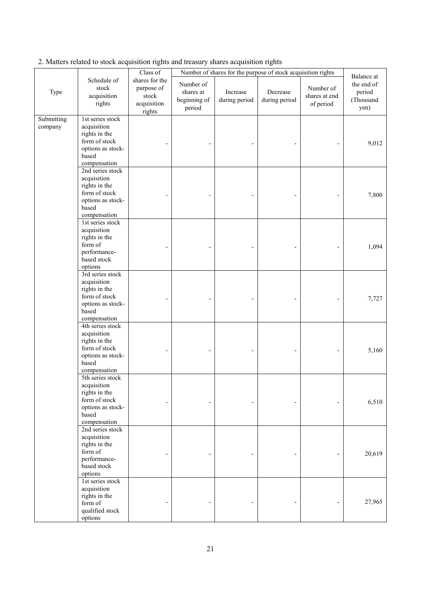|                       |                                                                                                                 | Class of                                                       | Number of shares for the purpose of stock acquisition rights |                           |                           | Balance at                              |                                           |
|-----------------------|-----------------------------------------------------------------------------------------------------------------|----------------------------------------------------------------|--------------------------------------------------------------|---------------------------|---------------------------|-----------------------------------------|-------------------------------------------|
| Type                  | Schedule of<br>stock<br>acquisition<br>rights                                                                   | shares for the<br>purpose of<br>stock<br>acquisition<br>rights | Number of<br>shares at<br>beginning of<br>period             | Increase<br>during period | Decrease<br>during period | Number of<br>shares at end<br>of period | the end of<br>period<br>(Thousand<br>yen) |
| Submitting<br>company | 1st series stock<br>acquisition<br>rights in the<br>form of stock<br>options as stock-<br>based<br>compensation |                                                                |                                                              |                           |                           |                                         | 9,012                                     |
|                       | 2nd series stock<br>acquisition<br>rights in the<br>form of stock<br>options as stock-<br>based<br>compensation |                                                                |                                                              |                           |                           |                                         | 7,800                                     |
|                       | 1st series stock<br>acquisition<br>rights in the<br>form of<br>performance-<br>based stock<br>options           |                                                                |                                                              |                           |                           |                                         | 1,094                                     |
|                       | 3rd series stock<br>acquisition<br>rights in the<br>form of stock<br>options as stock-<br>based<br>compensation |                                                                |                                                              |                           |                           |                                         | 7,727                                     |
|                       | 4th series stock<br>acquisition<br>rights in the<br>form of stock<br>options as stock-<br>based<br>compensation |                                                                |                                                              |                           |                           | $\overline{a}$                          | 5,160                                     |
|                       | 5th series stock<br>acquisition<br>rights in the<br>form of stock<br>options as stock-<br>based<br>compensation |                                                                |                                                              |                           |                           |                                         | 6,510                                     |
|                       | 2nd series stock<br>acquisition<br>rights in the<br>form of<br>performance-<br>based stock<br>options           |                                                                |                                                              |                           |                           |                                         | 20,619                                    |
|                       | 1st series stock<br>acquisition<br>rights in the<br>form of<br>qualified stock<br>options                       |                                                                |                                                              |                           |                           |                                         | 27,965                                    |

2. Matters related to stock acquisition rights and treasury shares acquisition rights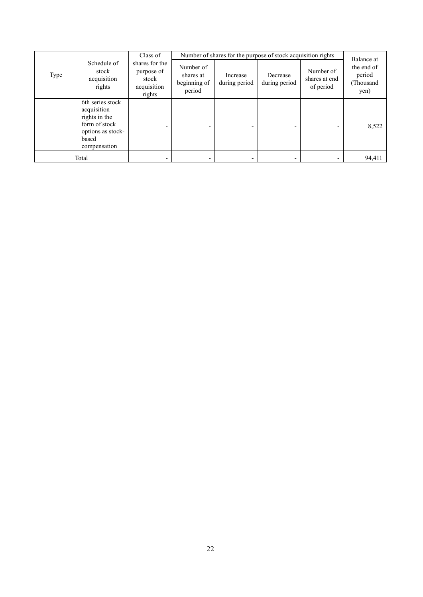|      |                                                                                                                 | Class of                                                       |                                                  |                           | Number of shares for the purpose of stock acquisition rights |                                         | Balance at                                |
|------|-----------------------------------------------------------------------------------------------------------------|----------------------------------------------------------------|--------------------------------------------------|---------------------------|--------------------------------------------------------------|-----------------------------------------|-------------------------------------------|
| Type | Schedule of<br>stock<br>acquisition<br>rights                                                                   | shares for the<br>purpose of<br>stock<br>acquisition<br>rights | Number of<br>shares at<br>beginning of<br>period | Increase<br>during period | Decrease<br>during period                                    | Number of<br>shares at end<br>of period | the end of<br>period<br>(Thousand<br>yen) |
|      | 6th series stock<br>acquisition<br>rights in the<br>form of stock<br>options as stock-<br>based<br>compensation | $\overline{\phantom{0}}$                                       |                                                  |                           |                                                              |                                         | 8,522                                     |
|      | Total                                                                                                           | -                                                              |                                                  |                           |                                                              |                                         | 94,411                                    |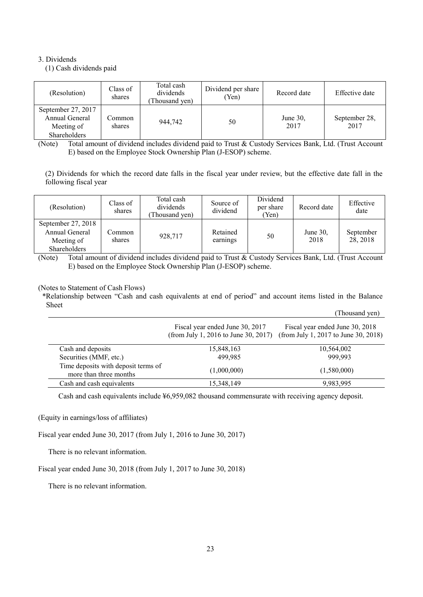# 3. Dividends

(1) Cash dividends paid

| (Resolution)                                                       | Class of<br>shares | Total cash<br>dividends<br>Thousand yen) | Dividend per share<br>(Yen) | Record date         | Effective date        |
|--------------------------------------------------------------------|--------------------|------------------------------------------|-----------------------------|---------------------|-----------------------|
| September 27, 2017<br>Annual General<br>Meeting of<br>Shareholders | .`ommon<br>shares  | 944.742                                  | 50                          | June $30$ .<br>2017 | September 28,<br>2017 |

(Note) Total amount of dividend includes dividend paid to Trust & Custody Services Bank, Ltd. (Trust Account E) based on the Employee Stock Ownership Plan (J-ESOP) scheme.

(2) Dividends for which the record date falls in the fiscal year under review, but the effective date fall in the following fiscal year

| (Resolution)                                                       | Class of<br>shares | Total cash<br>dividends<br>Thousand yen) | Source of<br>dividend | Dividend<br>per share<br>(Yen) | Record date         | Effective<br>date     |
|--------------------------------------------------------------------|--------------------|------------------------------------------|-----------------------|--------------------------------|---------------------|-----------------------|
| September 27, 2018<br>Annual General<br>Meeting of<br>Shareholders | Common<br>shares   | 928,717                                  | Retained<br>earnings  | 50                             | June $30$ .<br>2018 | September<br>28, 2018 |

(Note) Total amount of dividend includes dividend paid to Trust & Custody Services Bank, Ltd. (Trust Account E) based on the Employee Stock Ownership Plan (J-ESOP) scheme.

(Notes to Statement of Cash Flows)

\*Relationship between "Cash and cash equivalents at end of period" and account items listed in the Balance Sheet  $(Thomand xon)$ 

|                                                               |                                                                         | Thousand vent                                                           |
|---------------------------------------------------------------|-------------------------------------------------------------------------|-------------------------------------------------------------------------|
|                                                               | Fiscal year ended June 30, 2017<br>(from July 1, 2016 to June 30, 2017) | Fiscal year ended June 30, 2018<br>(from July 1, 2017 to June 30, 2018) |
| Cash and deposits                                             | 15,848,163                                                              | 10,564,002                                                              |
| Securities (MMF, etc.)                                        | 499.985                                                                 | 999,993                                                                 |
| Time deposits with deposit terms of<br>more than three months | (1,000,000)                                                             | (1,580,000)                                                             |
| Cash and cash equivalents                                     | 15,348,149                                                              | 9,983,995                                                               |

Cash and cash equivalents include ¥6,959,082 thousand commensurate with receiving agency deposit.

(Equity in earnings/loss of affiliates)

Fiscal year ended June 30, 2017 (from July 1, 2016 to June 30, 2017)

There is no relevant information.

Fiscal year ended June 30, 2018 (from July 1, 2017 to June 30, 2018)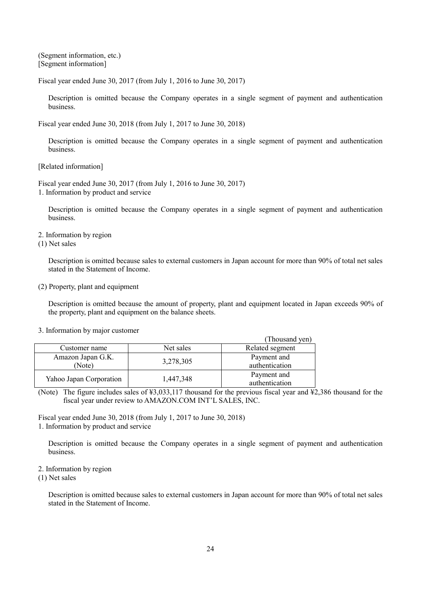(Segment information, etc.) [Segment information]

Fiscal year ended June 30, 2017 (from July 1, 2016 to June 30, 2017)

Description is omitted because the Company operates in a single segment of payment and authentication business.

Fiscal year ended June 30, 2018 (from July 1, 2017 to June 30, 2018)

Description is omitted because the Company operates in a single segment of payment and authentication business.

[Related information]

Fiscal year ended June 30, 2017 (from July 1, 2016 to June 30, 2017) 1. Information by product and service

Description is omitted because the Company operates in a single segment of payment and authentication business.

2. Information by region

(1) Net sales

Description is omitted because sales to external customers in Japan account for more than 90% of total net sales stated in the Statement of Income.

# (2) Property, plant and equipment

Description is omitted because the amount of property, plant and equipment located in Japan exceeds 90% of the property, plant and equipment on the balance sheets.

|                             |           | (Thousand yen)                |
|-----------------------------|-----------|-------------------------------|
| Customer name               | Net sales | Related segment               |
| Amazon Japan G.K.<br>(Note) | 3,278,305 | Payment and<br>authentication |
| Yahoo Japan Corporation     | 1,447,348 | Payment and<br>authentication |

#### 3. Information by major customer

(Note) The figure includes sales of  $\frac{1}{2}3.033,117$  thousand for the previous fiscal year and  $\frac{1}{2}2.386$  thousand for the fiscal year under review to AMAZON.COM INT'L SALES, INC.

Fiscal year ended June 30, 2018 (from July 1, 2017 to June 30, 2018)

1. Information by product and service

Description is omitted because the Company operates in a single segment of payment and authentication business.

#### 2. Information by region

(1) Net sales

Description is omitted because sales to external customers in Japan account for more than 90% of total net sales stated in the Statement of Income.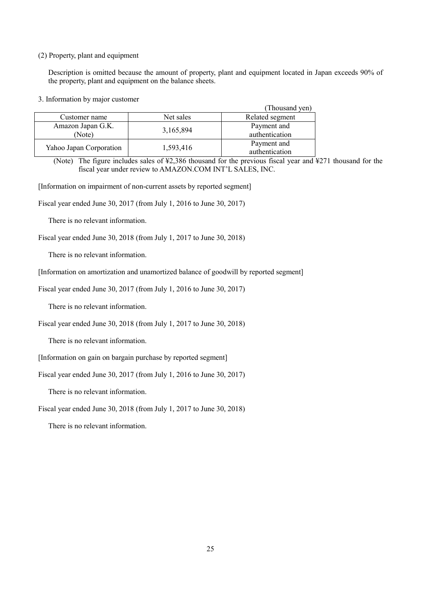## (2) Property, plant and equipment

Description is omitted because the amount of property, plant and equipment located in Japan exceeds 90% of the property, plant and equipment on the balance sheets.

3. Information by major customer

| - . ---- <i>-</i> ----------- - , -----, -- - <i>. </i> |           | (Thousand yen)                |
|---------------------------------------------------------|-----------|-------------------------------|
| Customer name                                           | Net sales | Related segment               |
| Amazon Japan G.K.<br>(Note                              | 3,165,894 | Payment and<br>authentication |
| Yahoo Japan Corporation                                 | 1,593,416 | Payment and<br>authentication |

(Note) The figure includes sales of ¥2,386 thousand for the previous fiscal year and ¥271 thousand for the fiscal year under review to AMAZON.COM INT'L SALES, INC.

[Information on impairment of non-current assets by reported segment]

Fiscal year ended June 30, 2017 (from July 1, 2016 to June 30, 2017)

There is no relevant information.

Fiscal year ended June 30, 2018 (from July 1, 2017 to June 30, 2018)

There is no relevant information.

[Information on amortization and unamortized balance of goodwill by reported segment]

Fiscal year ended June 30, 2017 (from July 1, 2016 to June 30, 2017)

There is no relevant information.

Fiscal year ended June 30, 2018 (from July 1, 2017 to June 30, 2018)

There is no relevant information.

[Information on gain on bargain purchase by reported segment]

Fiscal year ended June 30, 2017 (from July 1, 2016 to June 30, 2017)

There is no relevant information.

Fiscal year ended June 30, 2018 (from July 1, 2017 to June 30, 2018)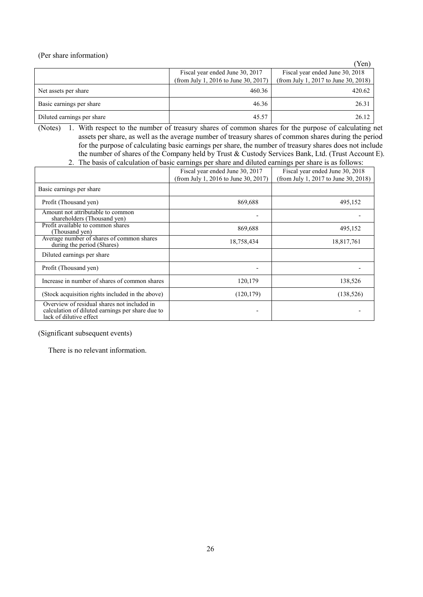(Per share information)

|                            |                                      | 'Yen)                                |
|----------------------------|--------------------------------------|--------------------------------------|
|                            | Fiscal year ended June 30, 2017      | Fiscal year ended June 30, 2018      |
|                            | (from July 1, 2016 to June 30, 2017) | (from July 1, 2017 to June 30, 2018) |
| Net assets per share       | 460.36                               | 420.62                               |
| Basic earnings per share   | 46.36                                | 26.31                                |
| Diluted earnings per share | 45.57                                | 26.12                                |

(Notes) 1. With respect to the number of treasury shares of common shares for the purpose of calculating net assets per share, as well as the average number of treasury shares of common shares during the period for the purpose of calculating basic earnings per share, the number of treasury shares does not include the number of shares of the Company held by Trust & Custody Services Bank, Ltd. (Trust Account E). 2. The basis of calculation of basic earnings per share and diluted earnings per share is as follows:

|                                                                                                                            | Fiscal year ended June 30, 2017<br>(from July 1, 2016 to June 30, 2017) | Fiscal year ended June 30, 2018<br>(from July 1, 2017 to June 30, 2018) |
|----------------------------------------------------------------------------------------------------------------------------|-------------------------------------------------------------------------|-------------------------------------------------------------------------|
| Basic earnings per share                                                                                                   |                                                                         |                                                                         |
| Profit (Thousand yen)                                                                                                      | 869,688                                                                 | 495,152                                                                 |
| Amount not attributable to common<br>shareholders (Thousand yen)                                                           |                                                                         |                                                                         |
| Profit available to common shares<br>(Thousand yen)                                                                        | 869,688                                                                 | 495,152                                                                 |
| Average number of shares of common shares<br>during the period (Shares)                                                    | 18,758,434                                                              | 18,817,761                                                              |
| Diluted earnings per share                                                                                                 |                                                                         |                                                                         |
| Profit (Thousand yen)                                                                                                      |                                                                         |                                                                         |
| Increase in number of shares of common shares                                                                              | 120,179                                                                 | 138,526                                                                 |
| (Stock acquisition rights included in the above)                                                                           | (120, 179)                                                              | (138, 526)                                                              |
| Overview of residual shares not included in<br>calculation of diluted earnings per share due to<br>lack of dilutive effect |                                                                         |                                                                         |

(Significant subsequent events)